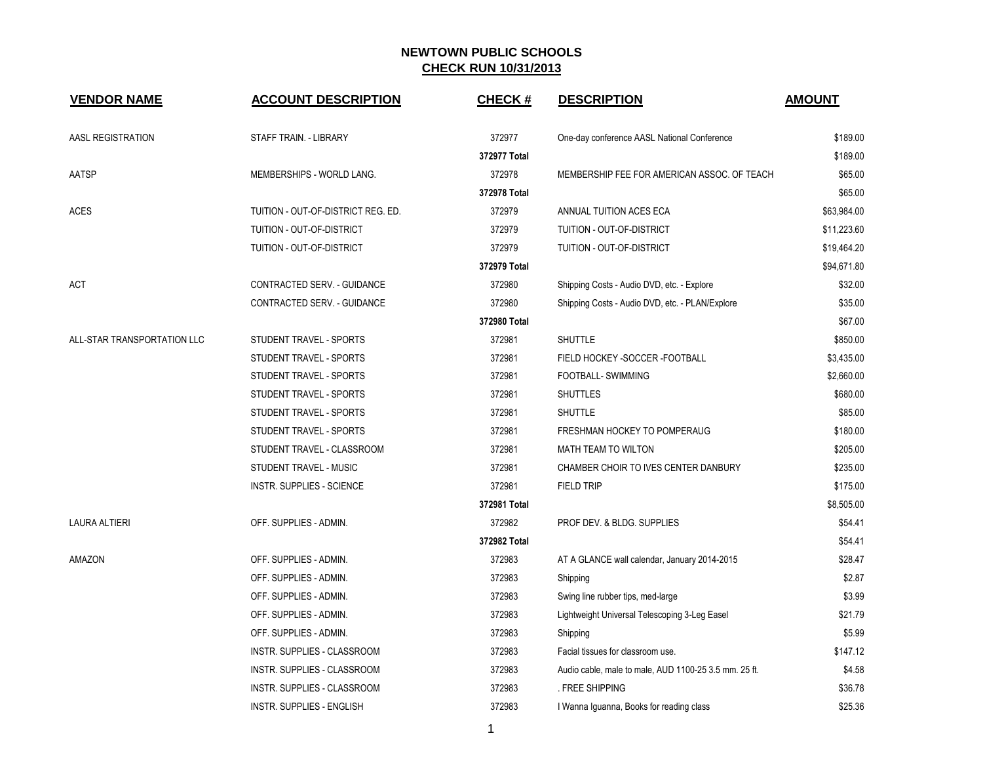| <b>VENDOR NAME</b>          | <b>ACCOUNT DESCRIPTION</b>         | <b>CHECK#</b> | <b>DESCRIPTION</b>                                    | <b>AMOUNT</b> |
|-----------------------------|------------------------------------|---------------|-------------------------------------------------------|---------------|
| AASL REGISTRATION           | STAFF TRAIN. - LIBRARY             | 372977        | One-day conference AASL National Conference           | \$189.00      |
|                             |                                    | 372977 Total  |                                                       | \$189.00      |
| AATSP                       | MEMBERSHIPS - WORLD LANG.          | 372978        | MEMBERSHIP FEE FOR AMERICAN ASSOC. OF TEACH           | \$65.00       |
|                             |                                    | 372978 Total  |                                                       | \$65.00       |
| <b>ACES</b>                 | TUITION - OUT-OF-DISTRICT REG. ED. | 372979        | ANNUAL TUITION ACES ECA                               | \$63,984.00   |
|                             | TUITION - OUT-OF-DISTRICT          | 372979        | TUITION - OUT-OF-DISTRICT                             | \$11,223.60   |
|                             | TUITION - OUT-OF-DISTRICT          | 372979        | TUITION - OUT-OF-DISTRICT                             | \$19,464.20   |
|                             |                                    | 372979 Total  |                                                       | \$94,671.80   |
| ACT                         | CONTRACTED SERV. - GUIDANCE        | 372980        | Shipping Costs - Audio DVD, etc. - Explore            | \$32.00       |
|                             | CONTRACTED SERV. - GUIDANCE        | 372980        | Shipping Costs - Audio DVD, etc. - PLAN/Explore       | \$35.00       |
|                             |                                    | 372980 Total  |                                                       | \$67.00       |
| ALL-STAR TRANSPORTATION LLC | STUDENT TRAVEL - SPORTS            | 372981        | <b>SHUTTLE</b>                                        | \$850.00      |
|                             | STUDENT TRAVEL - SPORTS            | 372981        | FIELD HOCKEY - SOCCER - FOOTBALL                      | \$3,435.00    |
|                             | STUDENT TRAVEL - SPORTS            | 372981        | FOOTBALL- SWIMMING                                    | \$2,660.00    |
|                             | STUDENT TRAVEL - SPORTS            | 372981        | <b>SHUTTLES</b>                                       | \$680.00      |
|                             | STUDENT TRAVEL - SPORTS            | 372981        | <b>SHUTTLE</b>                                        | \$85.00       |
|                             | STUDENT TRAVEL - SPORTS            | 372981        | FRESHMAN HOCKEY TO POMPERAUG                          | \$180.00      |
|                             | STUDENT TRAVEL - CLASSROOM         | 372981        | MATH TEAM TO WILTON                                   | \$205.00      |
|                             | STUDENT TRAVEL - MUSIC             | 372981        | CHAMBER CHOIR TO IVES CENTER DANBURY                  | \$235.00      |
|                             | INSTR. SUPPLIES - SCIENCE          | 372981        | <b>FIELD TRIP</b>                                     | \$175.00      |
|                             |                                    | 372981 Total  |                                                       | \$8,505.00    |
| <b>LAURA ALTIERI</b>        | OFF. SUPPLIES - ADMIN.             | 372982        | PROF DEV. & BLDG. SUPPLIES                            | \$54.41       |
|                             |                                    | 372982 Total  |                                                       | \$54.41       |
| AMAZON                      | OFF. SUPPLIES - ADMIN.             | 372983        | AT A GLANCE wall calendar, January 2014-2015          | \$28.47       |
|                             | OFF. SUPPLIES - ADMIN.             | 372983        | Shipping                                              | \$2.87        |
|                             | OFF. SUPPLIES - ADMIN.             | 372983        | Swing line rubber tips, med-large                     | \$3.99        |
|                             | OFF. SUPPLIES - ADMIN.             | 372983        | Lightweight Universal Telescoping 3-Leg Easel         | \$21.79       |
|                             | OFF. SUPPLIES - ADMIN.             | 372983        | Shipping                                              | \$5.99        |
|                             | INSTR. SUPPLIES - CLASSROOM        | 372983        | Facial tissues for classroom use.                     | \$147.12      |
|                             | INSTR. SUPPLIES - CLASSROOM        | 372983        | Audio cable, male to male, AUD 1100-25 3.5 mm. 25 ft. | \$4.58        |
|                             | INSTR. SUPPLIES - CLASSROOM        | 372983        | . FREE SHIPPING                                       | \$36.78       |
|                             | <b>INSTR. SUPPLIES - ENGLISH</b>   | 372983        | I Wanna Iguanna, Books for reading class              | \$25.36       |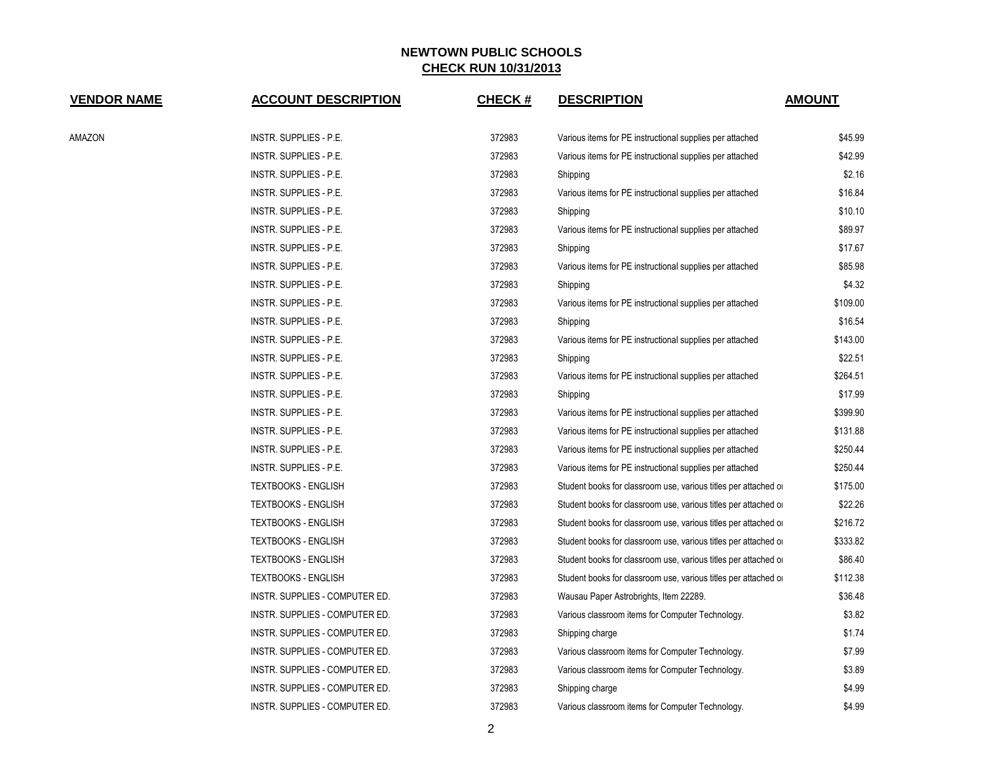| <b>VENDOR NAME</b> | <b>ACCOUNT DESCRIPTION</b>     | <b>CHECK#</b> | <b>DESCRIPTION</b>                                              | <b>AMOUNT</b> |
|--------------------|--------------------------------|---------------|-----------------------------------------------------------------|---------------|
| AMAZON             | INSTR. SUPPLIES - P.E.         | 372983        | Various items for PE instructional supplies per attached        | \$45.99       |
|                    | INSTR. SUPPLIES - P.E.         | 372983        | Various items for PE instructional supplies per attached        | \$42.99       |
|                    | INSTR. SUPPLIES - P.E.         | 372983        | Shipping                                                        | \$2.16        |
|                    | INSTR. SUPPLIES - P.E.         | 372983        | Various items for PE instructional supplies per attached        | \$16.84       |
|                    | INSTR. SUPPLIES - P.E.         | 372983        | Shipping                                                        | \$10.10       |
|                    | INSTR. SUPPLIES - P.E.         | 372983        | Various items for PE instructional supplies per attached        | \$89.97       |
|                    | INSTR. SUPPLIES - P.E.         | 372983        | Shipping                                                        | \$17.67       |
|                    | INSTR. SUPPLIES - P.E.         | 372983        | Various items for PE instructional supplies per attached        | \$85.98       |
|                    | INSTR. SUPPLIES - P.E.         | 372983        | Shipping                                                        | \$4.32        |
|                    | INSTR. SUPPLIES - P.E.         | 372983        | Various items for PE instructional supplies per attached        | \$109.00      |
|                    | <b>INSTR. SUPPLIES - P.E.</b>  | 372983        | Shipping                                                        | \$16.54       |
|                    | INSTR. SUPPLIES - P.E.         | 372983        | Various items for PE instructional supplies per attached        | \$143.00      |
|                    | INSTR. SUPPLIES - P.E.         | 372983        | Shipping                                                        | \$22.51       |
|                    | INSTR. SUPPLIES - P.E.         | 372983        | Various items for PE instructional supplies per attached        | \$264.51      |
|                    | INSTR. SUPPLIES - P.E.         | 372983        | Shipping                                                        | \$17.99       |
|                    | INSTR. SUPPLIES - P.E.         | 372983        | Various items for PE instructional supplies per attached        | \$399.90      |
|                    | INSTR. SUPPLIES - P.E.         | 372983        | Various items for PE instructional supplies per attached        | \$131.88      |
|                    | INSTR. SUPPLIES - P.E.         | 372983        | Various items for PE instructional supplies per attached        | \$250.44      |
|                    | INSTR. SUPPLIES - P.E.         | 372983        | Various items for PE instructional supplies per attached        | \$250.44      |
|                    | <b>TEXTBOOKS - ENGLISH</b>     | 372983        | Student books for classroom use, various titles per attached or | \$175.00      |
|                    | <b>TEXTBOOKS - ENGLISH</b>     | 372983        | Student books for classroom use, various titles per attached or | \$22.26       |
|                    | <b>TEXTBOOKS - ENGLISH</b>     | 372983        | Student books for classroom use, various titles per attached or | \$216.72      |
|                    | <b>TEXTBOOKS - ENGLISH</b>     | 372983        | Student books for classroom use, various titles per attached or | \$333.82      |
|                    | <b>TEXTBOOKS - ENGLISH</b>     | 372983        | Student books for classroom use, various titles per attached or | \$86.40       |
|                    | <b>TEXTBOOKS - ENGLISH</b>     | 372983        | Student books for classroom use, various titles per attached or | \$112.38      |
|                    | INSTR. SUPPLIES - COMPUTER ED. | 372983        | Wausau Paper Astrobrights, Item 22289.                          | \$36.48       |
|                    | INSTR. SUPPLIES - COMPUTER ED. | 372983        | Various classroom items for Computer Technology.                | \$3.82        |
|                    | INSTR. SUPPLIES - COMPUTER ED. | 372983        | Shipping charge                                                 | \$1.74        |
|                    | INSTR. SUPPLIES - COMPUTER ED. | 372983        | Various classroom items for Computer Technology.                | \$7.99        |
|                    | INSTR. SUPPLIES - COMPUTER ED. | 372983        | Various classroom items for Computer Technology.                | \$3.89        |
|                    | INSTR. SUPPLIES - COMPUTER ED. | 372983        | Shipping charge                                                 | \$4.99        |
|                    | INSTR. SUPPLIES - COMPUTER ED. | 372983        | Various classroom items for Computer Technology.                | \$4.99        |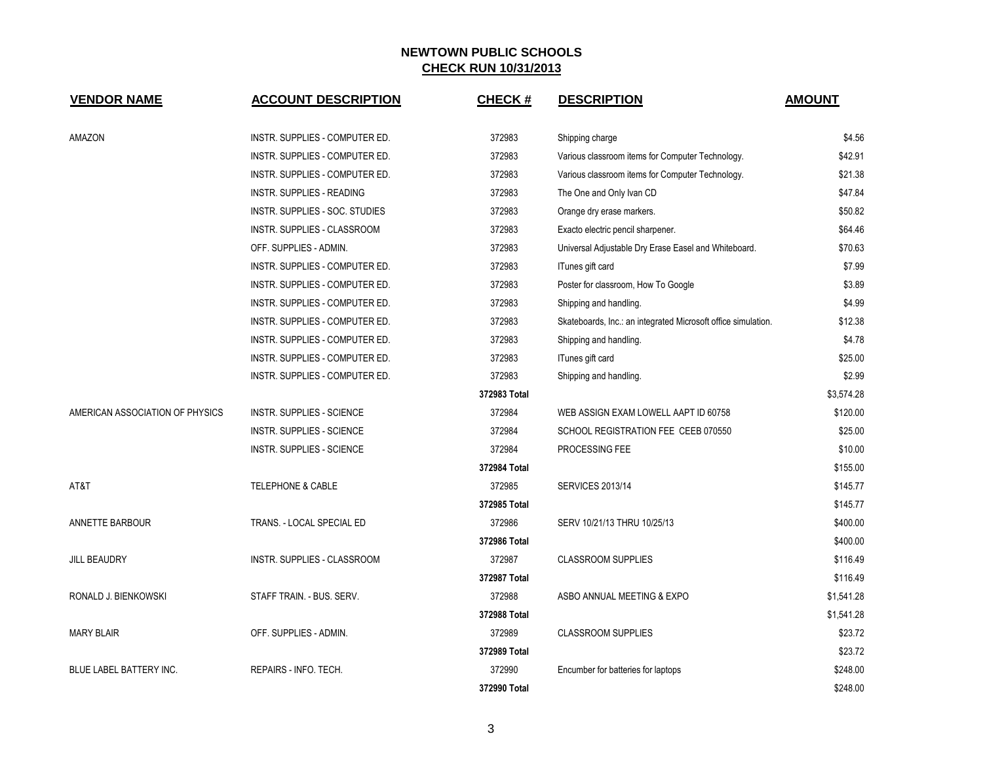| <b>VENDOR NAME</b>              | <b>ACCOUNT DESCRIPTION</b>         | <b>CHECK#</b> | <b>DESCRIPTION</b>                                            | <b>AMOUNT</b> |
|---------------------------------|------------------------------------|---------------|---------------------------------------------------------------|---------------|
| AMAZON                          | INSTR. SUPPLIES - COMPUTER ED.     | 372983        | Shipping charge                                               | \$4.56        |
|                                 | INSTR. SUPPLIES - COMPUTER ED.     | 372983        | Various classroom items for Computer Technology.              | \$42.91       |
|                                 | INSTR. SUPPLIES - COMPUTER ED.     | 372983        | Various classroom items for Computer Technology.              | \$21.38       |
|                                 | <b>INSTR. SUPPLIES - READING</b>   | 372983        | The One and Only Ivan CD                                      | \$47.84       |
|                                 | INSTR. SUPPLIES - SOC. STUDIES     | 372983        | Orange dry erase markers.                                     | \$50.82       |
|                                 | <b>INSTR. SUPPLIES - CLASSROOM</b> | 372983        | Exacto electric pencil sharpener.                             | \$64.46       |
|                                 | OFF. SUPPLIES - ADMIN.             | 372983        | Universal Adjustable Dry Erase Easel and Whiteboard.          | \$70.63       |
|                                 | INSTR. SUPPLIES - COMPUTER ED.     | 372983        | ITunes gift card                                              | \$7.99        |
|                                 | INSTR. SUPPLIES - COMPUTER ED.     | 372983        | Poster for classroom, How To Google                           | \$3.89        |
|                                 | INSTR. SUPPLIES - COMPUTER ED.     | 372983        | Shipping and handling.                                        | \$4.99        |
|                                 | INSTR. SUPPLIES - COMPUTER ED.     | 372983        | Skateboards, Inc.: an integrated Microsoft office simulation. | \$12.38       |
|                                 | INSTR. SUPPLIES - COMPUTER ED.     | 372983        | Shipping and handling.                                        | \$4.78        |
|                                 | INSTR. SUPPLIES - COMPUTER ED.     | 372983        | ITunes gift card                                              | \$25.00       |
|                                 | INSTR. SUPPLIES - COMPUTER ED.     | 372983        | Shipping and handling.                                        | \$2.99        |
|                                 |                                    | 372983 Total  |                                                               | \$3,574.28    |
| AMERICAN ASSOCIATION OF PHYSICS | <b>INSTR. SUPPLIES - SCIENCE</b>   | 372984        | WEB ASSIGN EXAM LOWELL AAPT ID 60758                          | \$120.00      |
|                                 | <b>INSTR. SUPPLIES - SCIENCE</b>   | 372984        | SCHOOL REGISTRATION FEE CEEB 070550                           | \$25.00       |
|                                 | INSTR. SUPPLIES - SCIENCE          | 372984        | PROCESSING FEE                                                | \$10.00       |
|                                 |                                    | 372984 Total  |                                                               | \$155.00      |
| AT&T                            | <b>TELEPHONE &amp; CABLE</b>       | 372985        | <b>SERVICES 2013/14</b>                                       | \$145.77      |
|                                 |                                    | 372985 Total  |                                                               | \$145.77      |
| ANNETTE BARBOUR                 | TRANS. - LOCAL SPECIAL ED          | 372986        | SERV 10/21/13 THRU 10/25/13                                   | \$400.00      |
|                                 |                                    | 372986 Total  |                                                               | \$400.00      |
| <b>JILL BEAUDRY</b>             | INSTR. SUPPLIES - CLASSROOM        | 372987        | <b>CLASSROOM SUPPLIES</b>                                     | \$116.49      |
|                                 |                                    | 372987 Total  |                                                               | \$116.49      |
| RONALD J. BIENKOWSKI            | STAFF TRAIN. - BUS. SERV.          | 372988        | ASBO ANNUAL MEETING & EXPO                                    | \$1,541.28    |
|                                 |                                    | 372988 Total  |                                                               | \$1,541.28    |
| <b>MARY BLAIR</b>               | OFF. SUPPLIES - ADMIN.             | 372989        | <b>CLASSROOM SUPPLIES</b>                                     | \$23.72       |
|                                 |                                    | 372989 Total  |                                                               | \$23.72       |
| <b>BLUE LABEL BATTERY INC.</b>  | REPAIRS - INFO. TECH.              | 372990        | Encumber for batteries for laptops                            | \$248.00      |
|                                 |                                    | 372990 Total  |                                                               | \$248.00      |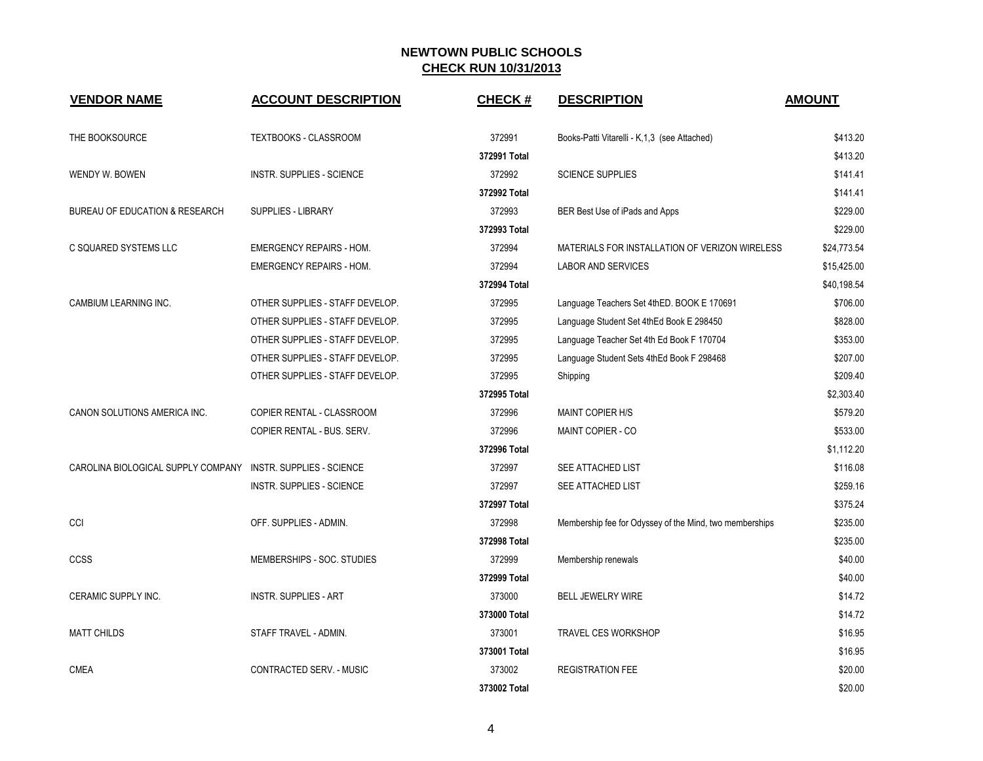| <b>VENDOR NAME</b>                                           | <b>ACCOUNT DESCRIPTION</b>       | <b>CHECK#</b> | <b>DESCRIPTION</b>                                      | <b>AMOUNT</b> |
|--------------------------------------------------------------|----------------------------------|---------------|---------------------------------------------------------|---------------|
| THE BOOKSOURCE                                               | <b>TEXTBOOKS - CLASSROOM</b>     | 372991        | Books-Patti Vitarelli - K,1,3 (see Attached)            | \$413.20      |
|                                                              |                                  | 372991 Total  |                                                         | \$413.20      |
| WENDY W. BOWEN                                               | INSTR. SUPPLIES - SCIENCE        | 372992        | <b>SCIENCE SUPPLIES</b>                                 | \$141.41      |
|                                                              |                                  | 372992 Total  |                                                         | \$141.41      |
| <b>BUREAU OF EDUCATION &amp; RESEARCH</b>                    | <b>SUPPLIES - LIBRARY</b>        | 372993        | BER Best Use of iPads and Apps                          | \$229.00      |
|                                                              |                                  | 372993 Total  |                                                         | \$229.00      |
| C SQUARED SYSTEMS LLC                                        | <b>EMERGENCY REPAIRS - HOM.</b>  | 372994        | MATERIALS FOR INSTALLATION OF VERIZON WIRELESS          | \$24,773.54   |
|                                                              | <b>EMERGENCY REPAIRS - HOM.</b>  | 372994        | <b>LABOR AND SERVICES</b>                               | \$15,425.00   |
|                                                              |                                  | 372994 Total  |                                                         | \$40,198.54   |
| CAMBIUM LEARNING INC.                                        | OTHER SUPPLIES - STAFF DEVELOP.  | 372995        | Language Teachers Set 4thED. BOOK E 170691              | \$706.00      |
|                                                              | OTHER SUPPLIES - STAFF DEVELOP.  | 372995        | Language Student Set 4th Ed Book E 298450               | \$828.00      |
|                                                              | OTHER SUPPLIES - STAFF DEVELOP.  | 372995        | Language Teacher Set 4th Ed Book F 170704               | \$353.00      |
|                                                              | OTHER SUPPLIES - STAFF DEVELOP.  | 372995        | Language Student Sets 4thEd Book F 298468               | \$207.00      |
|                                                              | OTHER SUPPLIES - STAFF DEVELOP.  | 372995        | Shipping                                                | \$209.40      |
|                                                              |                                  | 372995 Total  |                                                         | \$2,303.40    |
| CANON SOLUTIONS AMERICA INC.                                 | COPIER RENTAL - CLASSROOM        | 372996        | <b>MAINT COPIER H/S</b>                                 | \$579.20      |
|                                                              | COPIER RENTAL - BUS. SERV.       | 372996        | MAINT COPIER - CO                                       | \$533.00      |
|                                                              |                                  | 372996 Total  |                                                         | \$1,112.20    |
| CAROLINA BIOLOGICAL SUPPLY COMPANY INSTR. SUPPLIES - SCIENCE |                                  | 372997        | SEE ATTACHED LIST                                       | \$116.08      |
|                                                              | <b>INSTR. SUPPLIES - SCIENCE</b> | 372997        | <b>SEE ATTACHED LIST</b>                                | \$259.16      |
|                                                              |                                  | 372997 Total  |                                                         | \$375.24      |
| CCI                                                          | OFF. SUPPLIES - ADMIN.           | 372998        | Membership fee for Odyssey of the Mind, two memberships | \$235.00      |
|                                                              |                                  | 372998 Total  |                                                         | \$235.00      |
| CCSS                                                         | MEMBERSHIPS - SOC. STUDIES       | 372999        | Membership renewals                                     | \$40.00       |
|                                                              |                                  | 372999 Total  |                                                         | \$40.00       |
| CERAMIC SUPPLY INC.                                          | <b>INSTR. SUPPLIES - ART</b>     | 373000        | <b>BELL JEWELRY WIRE</b>                                | \$14.72       |
|                                                              |                                  | 373000 Total  |                                                         | \$14.72       |
| <b>MATT CHILDS</b>                                           | STAFF TRAVEL - ADMIN.            | 373001        | <b>TRAVEL CES WORKSHOP</b>                              | \$16.95       |
|                                                              |                                  | 373001 Total  |                                                         | \$16.95       |
| <b>CMEA</b>                                                  | <b>CONTRACTED SERV. - MUSIC</b>  | 373002        | <b>REGISTRATION FEE</b>                                 | \$20.00       |
|                                                              |                                  | 373002 Total  |                                                         | \$20.00       |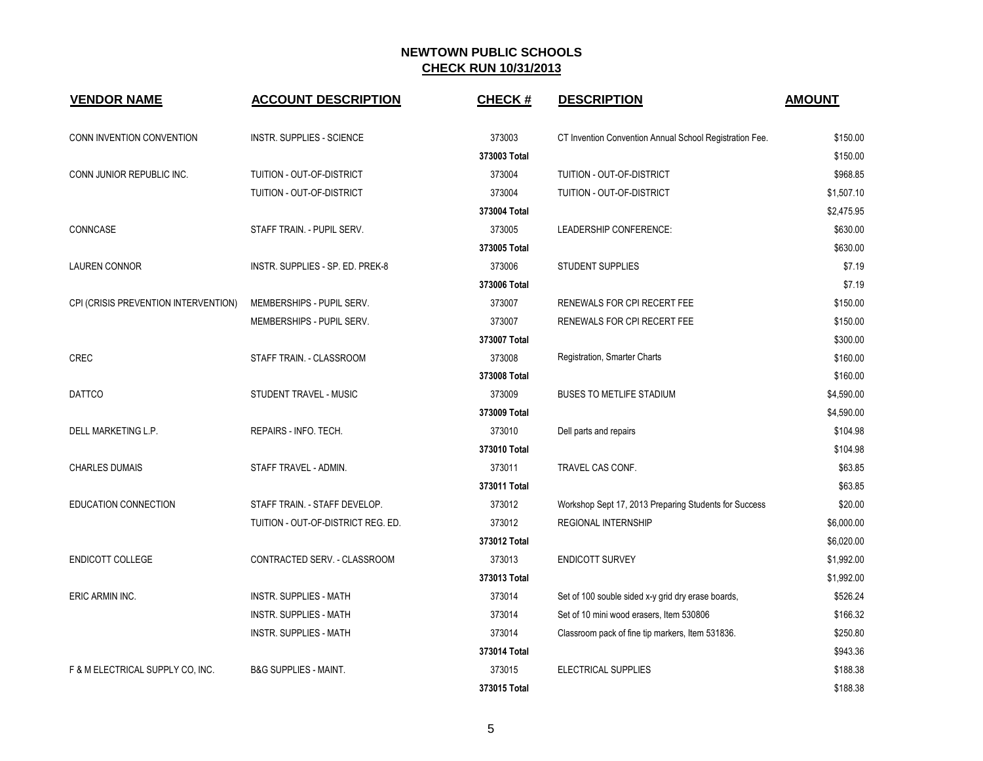| <b>VENDOR NAME</b>                   | <b>ACCOUNT DESCRIPTION</b>         | <b>CHECK#</b> | <b>DESCRIPTION</b>                                      | <b>AMOUNT</b> |
|--------------------------------------|------------------------------------|---------------|---------------------------------------------------------|---------------|
| CONN INVENTION CONVENTION            | <b>INSTR. SUPPLIES - SCIENCE</b>   | 373003        | CT Invention Convention Annual School Registration Fee. | \$150.00      |
|                                      |                                    | 373003 Total  |                                                         | \$150.00      |
| CONN JUNIOR REPUBLIC INC.            | TUITION - OUT-OF-DISTRICT          | 373004        | TUITION - OUT-OF-DISTRICT                               | \$968.85      |
|                                      | TUITION - OUT-OF-DISTRICT          | 373004        | TUITION - OUT-OF-DISTRICT                               | \$1,507.10    |
|                                      |                                    | 373004 Total  |                                                         | \$2,475.95    |
| CONNCASE                             | STAFF TRAIN. - PUPIL SERV.         | 373005        | LEADERSHIP CONFERENCE:                                  | \$630.00      |
|                                      |                                    | 373005 Total  |                                                         | \$630.00      |
| <b>LAUREN CONNOR</b>                 | INSTR. SUPPLIES - SP. ED. PREK-8   | 373006        | <b>STUDENT SUPPLIES</b>                                 | \$7.19        |
|                                      |                                    | 373006 Total  |                                                         | \$7.19        |
| CPI (CRISIS PREVENTION INTERVENTION) | MEMBERSHIPS - PUPIL SERV.          | 373007        | RENEWALS FOR CPI RECERT FEE                             | \$150.00      |
|                                      | MEMBERSHIPS - PUPIL SERV.          | 373007        | RENEWALS FOR CPI RECERT FEE                             | \$150.00      |
|                                      |                                    | 373007 Total  |                                                         | \$300.00      |
| <b>CREC</b>                          | STAFF TRAIN. - CLASSROOM           | 373008        | Registration, Smarter Charts                            | \$160.00      |
|                                      |                                    | 373008 Total  |                                                         | \$160.00      |
| <b>DATTCO</b>                        | STUDENT TRAVEL - MUSIC             | 373009        | <b>BUSES TO METLIFE STADIUM</b>                         | \$4,590.00    |
|                                      |                                    | 373009 Total  |                                                         | \$4,590.00    |
| DELL MARKETING L.P.                  | REPAIRS - INFO. TECH.              | 373010        | Dell parts and repairs                                  | \$104.98      |
|                                      |                                    | 373010 Total  |                                                         | \$104.98      |
| <b>CHARLES DUMAIS</b>                | STAFF TRAVEL - ADMIN.              | 373011        | TRAVEL CAS CONF.                                        | \$63.85       |
|                                      |                                    | 373011 Total  |                                                         | \$63.85       |
| <b>EDUCATION CONNECTION</b>          | STAFF TRAIN. - STAFF DEVELOP.      | 373012        | Workshop Sept 17, 2013 Preparing Students for Success   | \$20.00       |
|                                      | TUITION - OUT-OF-DISTRICT REG. ED. | 373012        | <b>REGIONAL INTERNSHIP</b>                              | \$6,000.00    |
|                                      |                                    | 373012 Total  |                                                         | \$6,020.00    |
| <b>ENDICOTT COLLEGE</b>              | CONTRACTED SERV. - CLASSROOM       | 373013        | <b>ENDICOTT SURVEY</b>                                  | \$1,992.00    |
|                                      |                                    | 373013 Total  |                                                         | \$1,992.00    |
| ERIC ARMIN INC.                      | <b>INSTR. SUPPLIES - MATH</b>      | 373014        | Set of 100 souble sided x-y grid dry erase boards,      | \$526.24      |
|                                      | <b>INSTR. SUPPLIES - MATH</b>      | 373014        | Set of 10 mini wood erasers, Item 530806                | \$166.32      |
|                                      | <b>INSTR. SUPPLIES - MATH</b>      | 373014        | Classroom pack of fine tip markers, Item 531836.        | \$250.80      |
|                                      |                                    | 373014 Total  |                                                         | \$943.36      |
| F & M ELECTRICAL SUPPLY CO, INC.     | <b>B&amp;G SUPPLIES - MAINT.</b>   | 373015        | ELECTRICAL SUPPLIES                                     | \$188.38      |
|                                      |                                    | 373015 Total  |                                                         | \$188.38      |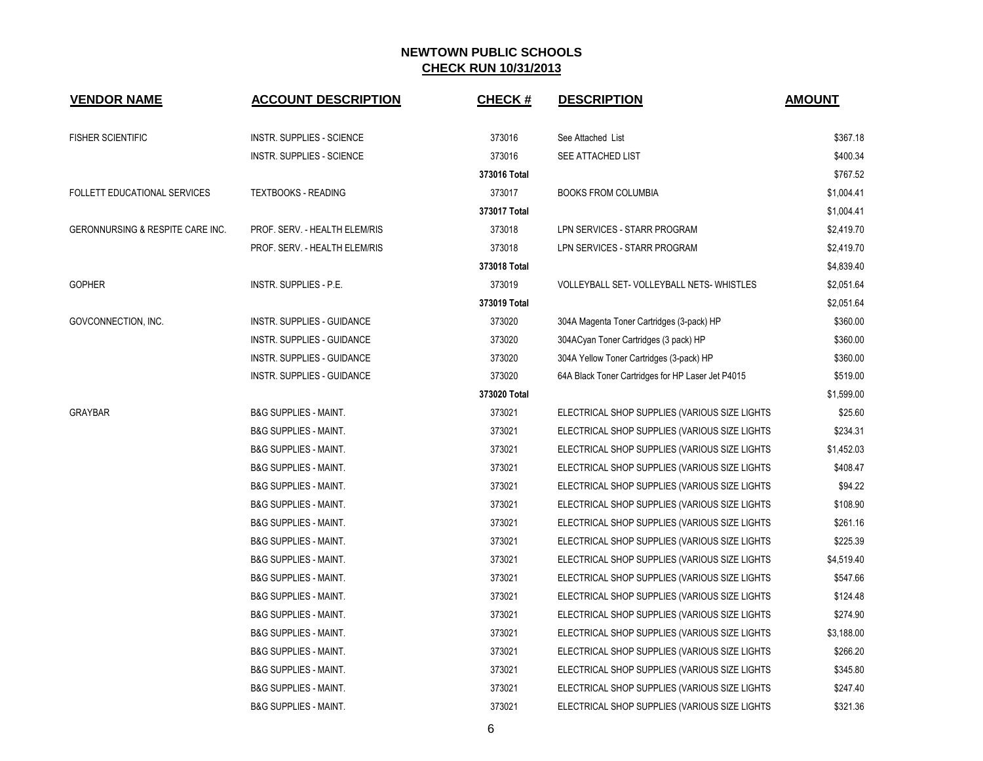| <b>VENDOR NAME</b>               | <b>ACCOUNT DESCRIPTION</b>       | <b>CHECK#</b> | <b>DESCRIPTION</b>                                | <b>AMOUNT</b> |
|----------------------------------|----------------------------------|---------------|---------------------------------------------------|---------------|
| <b>FISHER SCIENTIFIC</b>         | <b>INSTR. SUPPLIES - SCIENCE</b> | 373016        | See Attached List                                 | \$367.18      |
|                                  | <b>INSTR. SUPPLIES - SCIENCE</b> | 373016        | <b>SEE ATTACHED LIST</b>                          | \$400.34      |
|                                  |                                  | 373016 Total  |                                                   | \$767.52      |
| FOLLETT EDUCATIONAL SERVICES     | <b>TEXTBOOKS - READING</b>       | 373017        | <b>BOOKS FROM COLUMBIA</b>                        | \$1,004.41    |
|                                  |                                  | 373017 Total  |                                                   | \$1,004.41    |
| GERONNURSING & RESPITE CARE INC. | PROF. SERV. - HEALTH ELEM/RIS    | 373018        | LPN SERVICES - STARR PROGRAM                      | \$2,419.70    |
|                                  | PROF. SERV. - HEALTH ELEM/RIS    | 373018        | LPN SERVICES - STARR PROGRAM                      | \$2,419.70    |
|                                  |                                  | 373018 Total  |                                                   | \$4,839.40    |
| <b>GOPHER</b>                    | INSTR. SUPPLIES - P.E.           | 373019        | VOLLEYBALL SET- VOLLEYBALL NETS-WHISTLES          | \$2,051.64    |
|                                  |                                  | 373019 Total  |                                                   | \$2,051.64    |
| GOVCONNECTION, INC.              | INSTR. SUPPLIES - GUIDANCE       | 373020        | 304A Magenta Toner Cartridges (3-pack) HP         | \$360.00      |
|                                  | INSTR. SUPPLIES - GUIDANCE       | 373020        | 304ACyan Toner Cartridges (3 pack) HP             | \$360.00      |
|                                  | INSTR. SUPPLIES - GUIDANCE       | 373020        | 304A Yellow Toner Cartridges (3-pack) HP          | \$360.00      |
|                                  | INSTR. SUPPLIES - GUIDANCE       | 373020        | 64A Black Toner Cartridges for HP Laser Jet P4015 | \$519.00      |
|                                  |                                  | 373020 Total  |                                                   | \$1,599.00    |
| <b>GRAYBAR</b>                   | <b>B&amp;G SUPPLIES - MAINT.</b> | 373021        | ELECTRICAL SHOP SUPPLIES (VARIOUS SIZE LIGHTS     | \$25.60       |
|                                  | <b>B&amp;G SUPPLIES - MAINT.</b> | 373021        | ELECTRICAL SHOP SUPPLIES (VARIOUS SIZE LIGHTS     | \$234.31      |
|                                  | <b>B&amp;G SUPPLIES - MAINT.</b> | 373021        | ELECTRICAL SHOP SUPPLIES (VARIOUS SIZE LIGHTS     | \$1,452.03    |
|                                  | <b>B&amp;G SUPPLIES - MAINT.</b> | 373021        | ELECTRICAL SHOP SUPPLIES (VARIOUS SIZE LIGHTS     | \$408.47      |
|                                  | <b>B&amp;G SUPPLIES - MAINT.</b> | 373021        | ELECTRICAL SHOP SUPPLIES (VARIOUS SIZE LIGHTS     | \$94.22       |
|                                  | <b>B&amp;G SUPPLIES - MAINT.</b> | 373021        | ELECTRICAL SHOP SUPPLIES (VARIOUS SIZE LIGHTS     | \$108.90      |
|                                  | <b>B&amp;G SUPPLIES - MAINT.</b> | 373021        | ELECTRICAL SHOP SUPPLIES (VARIOUS SIZE LIGHTS     | \$261.16      |
|                                  | <b>B&amp;G SUPPLIES - MAINT.</b> | 373021        | ELECTRICAL SHOP SUPPLIES (VARIOUS SIZE LIGHTS     | \$225.39      |
|                                  | <b>B&amp;G SUPPLIES - MAINT.</b> | 373021        | ELECTRICAL SHOP SUPPLIES (VARIOUS SIZE LIGHTS     | \$4,519.40    |
|                                  | <b>B&amp;G SUPPLIES - MAINT.</b> | 373021        | ELECTRICAL SHOP SUPPLIES (VARIOUS SIZE LIGHTS     | \$547.66      |
|                                  | <b>B&amp;G SUPPLIES - MAINT.</b> | 373021        | ELECTRICAL SHOP SUPPLIES (VARIOUS SIZE LIGHTS     | \$124.48      |
|                                  | <b>B&amp;G SUPPLIES - MAINT.</b> | 373021        | ELECTRICAL SHOP SUPPLIES (VARIOUS SIZE LIGHTS     | \$274.90      |
|                                  | <b>B&amp;G SUPPLIES - MAINT.</b> | 373021        | ELECTRICAL SHOP SUPPLIES (VARIOUS SIZE LIGHTS     | \$3,188.00    |
|                                  | <b>B&amp;G SUPPLIES - MAINT.</b> | 373021        | ELECTRICAL SHOP SUPPLIES (VARIOUS SIZE LIGHTS     | \$266.20      |
|                                  | <b>B&amp;G SUPPLIES - MAINT.</b> | 373021        | ELECTRICAL SHOP SUPPLIES (VARIOUS SIZE LIGHTS     | \$345.80      |
|                                  | <b>B&amp;G SUPPLIES - MAINT.</b> | 373021        | ELECTRICAL SHOP SUPPLIES (VARIOUS SIZE LIGHTS     | \$247.40      |
|                                  | <b>B&amp;G SUPPLIES - MAINT.</b> | 373021        | ELECTRICAL SHOP SUPPLIES (VARIOUS SIZE LIGHTS     | \$321.36      |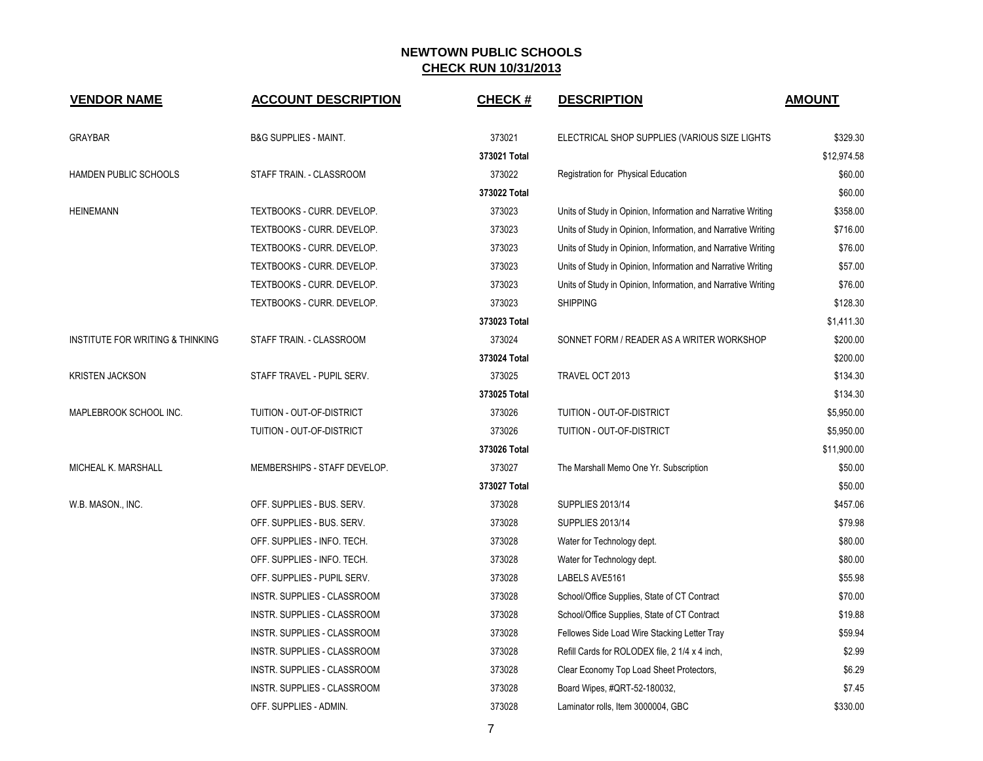| <b>VENDOR NAME</b>               | <b>ACCOUNT DESCRIPTION</b>       | <b>CHECK#</b> | <b>DESCRIPTION</b>                                            | <b>AMOUNT</b> |
|----------------------------------|----------------------------------|---------------|---------------------------------------------------------------|---------------|
| GRAYBAR                          | <b>B&amp;G SUPPLIES - MAINT.</b> | 373021        | ELECTRICAL SHOP SUPPLIES (VARIOUS SIZE LIGHTS                 | \$329.30      |
|                                  |                                  | 373021 Total  |                                                               | \$12,974.58   |
| HAMDEN PUBLIC SCHOOLS            | STAFF TRAIN. - CLASSROOM         | 373022        | Registration for Physical Education                           | \$60.00       |
|                                  |                                  | 373022 Total  |                                                               | \$60.00       |
| <b>HEINEMANN</b>                 | TEXTBOOKS - CURR. DEVELOP.       | 373023        | Units of Study in Opinion, Information and Narrative Writing  | \$358.00      |
|                                  | TEXTBOOKS - CURR. DEVELOP.       | 373023        | Units of Study in Opinion, Information, and Narrative Writing | \$716.00      |
|                                  | TEXTBOOKS - CURR. DEVELOP.       | 373023        | Units of Study in Opinion, Information, and Narrative Writing | \$76.00       |
|                                  | TEXTBOOKS - CURR. DEVELOP.       | 373023        | Units of Study in Opinion, Information and Narrative Writing  | \$57.00       |
|                                  | TEXTBOOKS - CURR. DEVELOP.       | 373023        | Units of Study in Opinion, Information, and Narrative Writing | \$76.00       |
|                                  | TEXTBOOKS - CURR. DEVELOP.       | 373023        | <b>SHIPPING</b>                                               | \$128.30      |
|                                  |                                  | 373023 Total  |                                                               | \$1,411.30    |
| INSTITUTE FOR WRITING & THINKING | STAFF TRAIN. - CLASSROOM         | 373024        | SONNET FORM / READER AS A WRITER WORKSHOP                     | \$200.00      |
|                                  |                                  | 373024 Total  |                                                               | \$200.00      |
| <b>KRISTEN JACKSON</b>           | STAFF TRAVEL - PUPIL SERV.       | 373025        | TRAVEL OCT 2013                                               | \$134.30      |
|                                  |                                  | 373025 Total  |                                                               | \$134.30      |
| MAPLEBROOK SCHOOL INC.           | TUITION - OUT-OF-DISTRICT        | 373026        | TUITION - OUT-OF-DISTRICT                                     | \$5,950.00    |
|                                  | TUITION - OUT-OF-DISTRICT        | 373026        | TUITION - OUT-OF-DISTRICT                                     | \$5,950.00    |
|                                  |                                  | 373026 Total  |                                                               | \$11,900.00   |
| MICHEAL K. MARSHALL              | MEMBERSHIPS - STAFF DEVELOP.     | 373027        | The Marshall Memo One Yr. Subscription                        | \$50.00       |
|                                  |                                  | 373027 Total  |                                                               | \$50.00       |
| W.B. MASON., INC.                | OFF. SUPPLIES - BUS. SERV.       | 373028        | <b>SUPPLIES 2013/14</b>                                       | \$457.06      |
|                                  | OFF. SUPPLIES - BUS. SERV.       | 373028        | <b>SUPPLIES 2013/14</b>                                       | \$79.98       |
|                                  | OFF. SUPPLIES - INFO. TECH.      | 373028        | Water for Technology dept.                                    | \$80.00       |
|                                  | OFF. SUPPLIES - INFO. TECH.      | 373028        | Water for Technology dept.                                    | \$80.00       |
|                                  | OFF. SUPPLIES - PUPIL SERV.      | 373028        | LABELS AVE5161                                                | \$55.98       |
|                                  | INSTR. SUPPLIES - CLASSROOM      | 373028        | School/Office Supplies, State of CT Contract                  | \$70.00       |
|                                  | INSTR. SUPPLIES - CLASSROOM      | 373028        | School/Office Supplies, State of CT Contract                  | \$19.88       |
|                                  | INSTR. SUPPLIES - CLASSROOM      | 373028        | Fellowes Side Load Wire Stacking Letter Tray                  | \$59.94       |
|                                  | INSTR. SUPPLIES - CLASSROOM      | 373028        | Refill Cards for ROLODEX file, 2 1/4 x 4 inch,                | \$2.99        |
|                                  | INSTR. SUPPLIES - CLASSROOM      | 373028        | Clear Economy Top Load Sheet Protectors,                      | \$6.29        |
|                                  | INSTR. SUPPLIES - CLASSROOM      | 373028        | Board Wipes, #QRT-52-180032,                                  | \$7.45        |
|                                  | OFF. SUPPLIES - ADMIN.           | 373028        | Laminator rolls, Item 3000004, GBC                            | \$330.00      |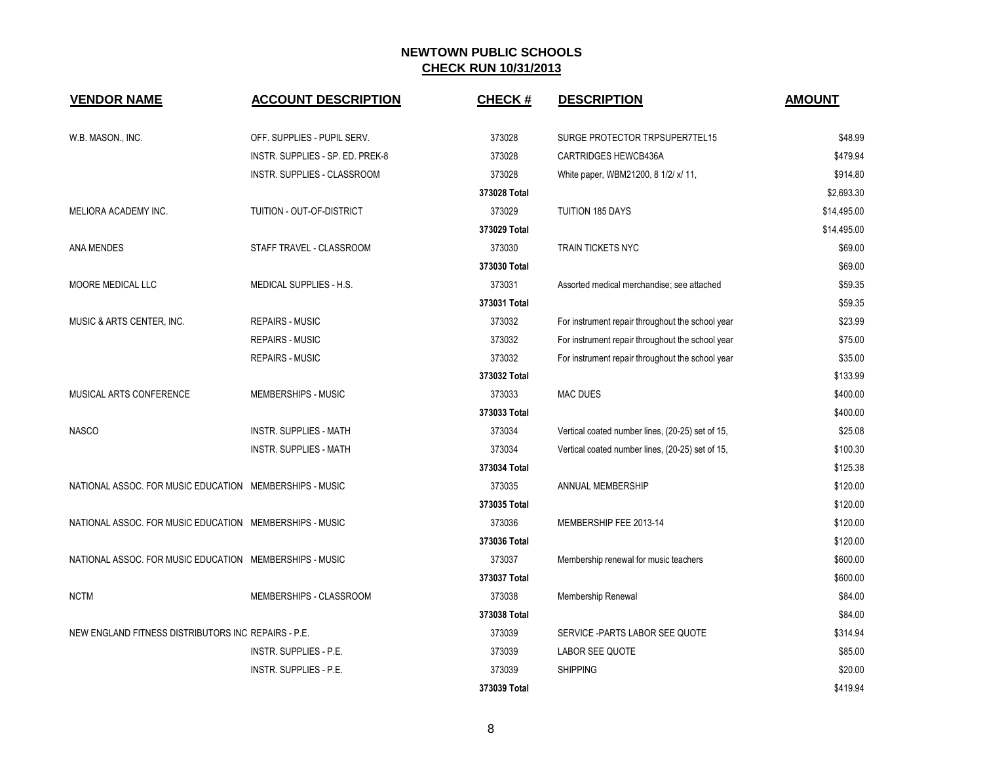| <b>VENDOR NAME</b>                                      | <b>ACCOUNT DESCRIPTION</b>       | <b>CHECK#</b> | <b>DESCRIPTION</b>                               | <b>AMOUNT</b> |
|---------------------------------------------------------|----------------------------------|---------------|--------------------------------------------------|---------------|
| W.B. MASON., INC.                                       | OFF. SUPPLIES - PUPIL SERV.      | 373028        | SURGE PROTECTOR TRPSUPER7TEL15                   | \$48.99       |
|                                                         | INSTR. SUPPLIES - SP. ED. PREK-8 | 373028        | <b>CARTRIDGES HEWCB436A</b>                      | \$479.94      |
|                                                         | INSTR. SUPPLIES - CLASSROOM      | 373028        | White paper, WBM21200, 8 1/2/ x/ 11,             | \$914.80      |
|                                                         |                                  | 373028 Total  |                                                  | \$2,693.30    |
| MELIORA ACADEMY INC.                                    | TUITION - OUT-OF-DISTRICT        | 373029        | <b>TUITION 185 DAYS</b>                          | \$14,495.00   |
|                                                         |                                  | 373029 Total  |                                                  | \$14,495.00   |
| ANA MENDES                                              | STAFF TRAVEL - CLASSROOM         | 373030        | <b>TRAIN TICKETS NYC</b>                         | \$69.00       |
|                                                         |                                  | 373030 Total  |                                                  | \$69.00       |
| MOORE MEDICAL LLC                                       | MEDICAL SUPPLIES - H.S.          | 373031        | Assorted medical merchandise; see attached       | \$59.35       |
|                                                         |                                  | 373031 Total  |                                                  | \$59.35       |
| MUSIC & ARTS CENTER, INC.                               | <b>REPAIRS - MUSIC</b>           | 373032        | For instrument repair throughout the school year | \$23.99       |
|                                                         | <b>REPAIRS - MUSIC</b>           | 373032        | For instrument repair throughout the school year | \$75.00       |
|                                                         | <b>REPAIRS - MUSIC</b>           | 373032        | For instrument repair throughout the school year | \$35.00       |
|                                                         |                                  | 373032 Total  |                                                  | \$133.99      |
| MUSICAL ARTS CONFERENCE                                 | MEMBERSHIPS - MUSIC              | 373033        | <b>MAC DUES</b>                                  | \$400.00      |
|                                                         |                                  | 373033 Total  |                                                  | \$400.00      |
| <b>NASCO</b>                                            | <b>INSTR. SUPPLIES - MATH</b>    | 373034        | Vertical coated number lines, (20-25) set of 15, | \$25.08       |
|                                                         | <b>INSTR. SUPPLIES - MATH</b>    | 373034        | Vertical coated number lines, (20-25) set of 15, | \$100.30      |
|                                                         |                                  | 373034 Total  |                                                  | \$125.38      |
| NATIONAL ASSOC. FOR MUSIC EDUCATION MEMBERSHIPS - MUSIC |                                  | 373035        | ANNUAL MEMBERSHIP                                | \$120.00      |
|                                                         |                                  | 373035 Total  |                                                  | \$120.00      |
| NATIONAL ASSOC. FOR MUSIC EDUCATION MEMBERSHIPS - MUSIC |                                  | 373036        | MEMBERSHIP FEE 2013-14                           | \$120.00      |
|                                                         |                                  | 373036 Total  |                                                  | \$120.00      |
| NATIONAL ASSOC. FOR MUSIC EDUCATION MEMBERSHIPS - MUSIC |                                  | 373037        | Membership renewal for music teachers            | \$600.00      |
|                                                         |                                  | 373037 Total  |                                                  | \$600.00      |
| <b>NCTM</b>                                             | MEMBERSHIPS - CLASSROOM          | 373038        | Membership Renewal                               | \$84.00       |
|                                                         |                                  | 373038 Total  |                                                  | \$84.00       |
| NEW ENGLAND FITNESS DISTRIBUTORS INC. REPAIRS - P.E.    |                                  | 373039        | SERVICE - PARTS LABOR SEE QUOTE                  | \$314.94      |
|                                                         | INSTR. SUPPLIES - P.E.           | 373039        | LABOR SEE QUOTE                                  | \$85.00       |
|                                                         | INSTR. SUPPLIES - P.E.           | 373039        | <b>SHIPPING</b>                                  | \$20.00       |
|                                                         |                                  | 373039 Total  |                                                  | \$419.94      |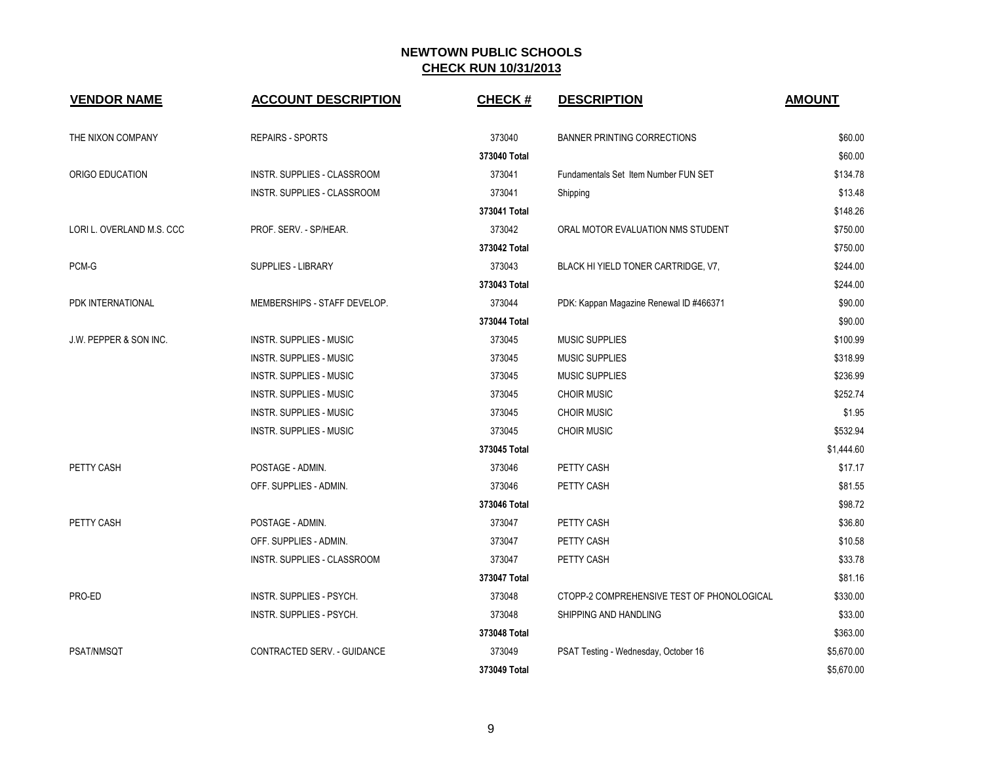| <b>VENDOR NAME</b>                | <b>ACCOUNT DESCRIPTION</b>     | <b>CHECK#</b> | <b>DESCRIPTION</b>                         | <b>AMOUNT</b> |
|-----------------------------------|--------------------------------|---------------|--------------------------------------------|---------------|
| THE NIXON COMPANY                 | <b>REPAIRS - SPORTS</b>        | 373040        | <b>BANNER PRINTING CORRECTIONS</b>         | \$60.00       |
|                                   |                                | 373040 Total  |                                            | \$60.00       |
| ORIGO EDUCATION                   | INSTR. SUPPLIES - CLASSROOM    | 373041        | Fundamentals Set Item Number FUN SET       | \$134.78      |
|                                   | INSTR. SUPPLIES - CLASSROOM    | 373041        | Shipping                                   | \$13.48       |
|                                   |                                | 373041 Total  |                                            | \$148.26      |
| LORI L. OVERLAND M.S. CCC         | PROF. SERV. - SP/HEAR.         | 373042        | ORAL MOTOR EVALUATION NMS STUDENT          | \$750.00      |
|                                   |                                | 373042 Total  |                                            | \$750.00      |
| PCM-G                             | <b>SUPPLIES - LIBRARY</b>      | 373043        | BLACK HI YIELD TONER CARTRIDGE, V7,        | \$244.00      |
|                                   |                                | 373043 Total  |                                            | \$244.00      |
| PDK INTERNATIONAL                 | MEMBERSHIPS - STAFF DEVELOP.   | 373044        | PDK: Kappan Magazine Renewal ID #466371    | \$90.00       |
|                                   |                                | 373044 Total  |                                            | \$90.00       |
| <b>J.W. PEPPER &amp; SON INC.</b> | INSTR. SUPPLIES - MUSIC        | 373045        | <b>MUSIC SUPPLIES</b>                      | \$100.99      |
|                                   | INSTR. SUPPLIES - MUSIC        | 373045        | <b>MUSIC SUPPLIES</b>                      | \$318.99      |
|                                   | <b>INSTR. SUPPLIES - MUSIC</b> | 373045        | <b>MUSIC SUPPLIES</b>                      | \$236.99      |
|                                   | INSTR. SUPPLIES - MUSIC        | 373045        | <b>CHOIR MUSIC</b>                         | \$252.74      |
|                                   | INSTR. SUPPLIES - MUSIC        | 373045        | <b>CHOIR MUSIC</b>                         | \$1.95        |
|                                   | INSTR. SUPPLIES - MUSIC        | 373045        | <b>CHOIR MUSIC</b>                         | \$532.94      |
|                                   |                                | 373045 Total  |                                            | \$1,444.60    |
| PETTY CASH                        | POSTAGE - ADMIN.               | 373046        | PETTY CASH                                 | \$17.17       |
|                                   | OFF. SUPPLIES - ADMIN.         | 373046        | PETTY CASH                                 | \$81.55       |
|                                   |                                | 373046 Total  |                                            | \$98.72       |
| PETTY CASH                        | POSTAGE - ADMIN.               | 373047        | PETTY CASH                                 | \$36.80       |
|                                   | OFF. SUPPLIES - ADMIN.         | 373047        | PETTY CASH                                 | \$10.58       |
|                                   | INSTR. SUPPLIES - CLASSROOM    | 373047        | PETTY CASH                                 | \$33.78       |
|                                   |                                | 373047 Total  |                                            | \$81.16       |
| PRO-ED                            | INSTR. SUPPLIES - PSYCH.       | 373048        | CTOPP-2 COMPREHENSIVE TEST OF PHONOLOGICAL | \$330.00      |
|                                   | INSTR. SUPPLIES - PSYCH.       | 373048        | SHIPPING AND HANDLING                      | \$33.00       |
|                                   |                                | 373048 Total  |                                            | \$363.00      |
| PSAT/NMSQT                        | CONTRACTED SERV. - GUIDANCE    | 373049        | PSAT Testing - Wednesday, October 16       | \$5,670.00    |
|                                   |                                | 373049 Total  |                                            | \$5,670.00    |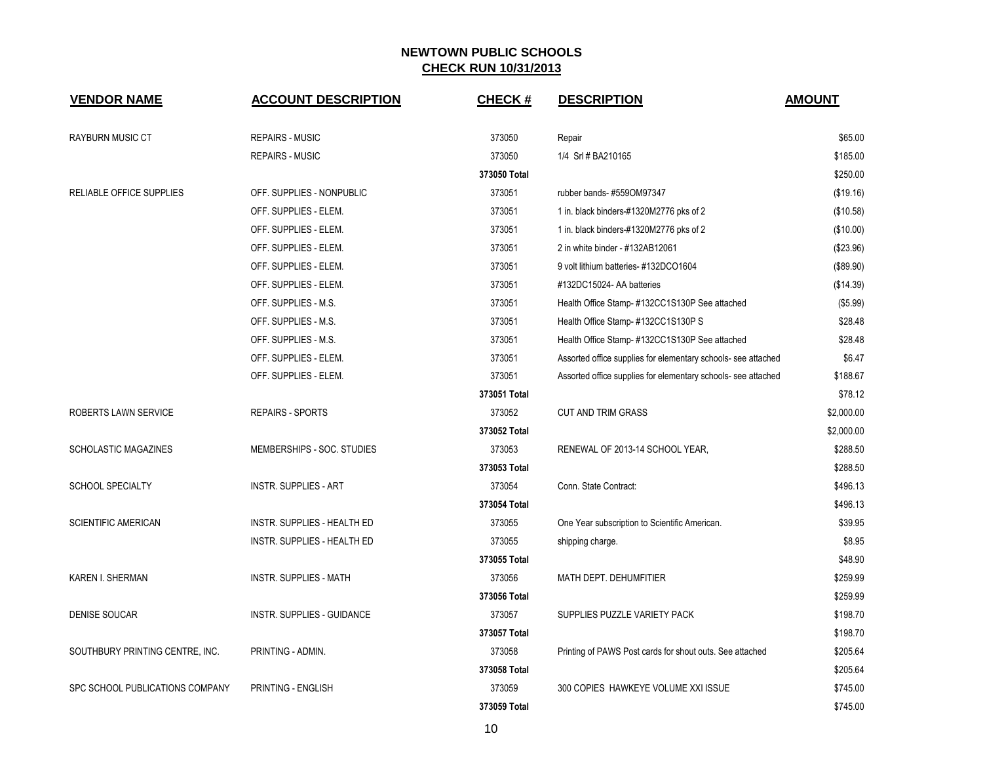| <b>VENDOR NAME</b>              | <b>ACCOUNT DESCRIPTION</b>        | <b>CHECK#</b> | <b>DESCRIPTION</b>                                            | <b>AMOUNT</b> |
|---------------------------------|-----------------------------------|---------------|---------------------------------------------------------------|---------------|
| <b>RAYBURN MUSIC CT</b>         | <b>REPAIRS - MUSIC</b>            | 373050        | Repair                                                        | \$65.00       |
|                                 | <b>REPAIRS - MUSIC</b>            | 373050        | 1/4 Srl # BA210165                                            | \$185.00      |
|                                 |                                   | 373050 Total  |                                                               | \$250.00      |
| RELIABLE OFFICE SUPPLIES        | OFF. SUPPLIES - NONPUBLIC         | 373051        | rubber bands-#559OM97347                                      | (\$19.16)     |
|                                 | OFF. SUPPLIES - ELEM.             | 373051        | 1 in. black binders-#1320M2776 pks of 2                       | (\$10.58)     |
|                                 | OFF. SUPPLIES - ELEM.             | 373051        | 1 in. black binders-#1320M2776 pks of 2                       | (\$10.00)     |
|                                 | OFF. SUPPLIES - ELEM.             | 373051        | 2 in white binder - #132AB12061                               | (\$23.96)     |
|                                 | OFF. SUPPLIES - ELEM.             | 373051        | 9 volt lithium batteries- #132DCO1604                         | (\$89.90)     |
|                                 | OFF. SUPPLIES - ELEM.             | 373051        | #132DC15024- AA batteries                                     | (\$14.39)     |
|                                 | OFF. SUPPLIES - M.S.              | 373051        | Health Office Stamp-#132CC1S130P See attached                 | (\$5.99)      |
|                                 | OFF. SUPPLIES - M.S.              | 373051        | Health Office Stamp-#132CC1S130P S                            | \$28.48       |
|                                 | OFF. SUPPLIES - M.S.              | 373051        | Health Office Stamp-#132CC1S130P See attached                 | \$28.48       |
|                                 | OFF. SUPPLIES - ELEM.             | 373051        | Assorted office supplies for elementary schools- see attached | \$6.47        |
|                                 | OFF. SUPPLIES - ELEM.             | 373051        | Assorted office supplies for elementary schools- see attached | \$188.67      |
|                                 |                                   | 373051 Total  |                                                               | \$78.12       |
| ROBERTS LAWN SERVICE            | <b>REPAIRS - SPORTS</b>           | 373052        | <b>CUT AND TRIM GRASS</b>                                     | \$2,000.00    |
|                                 |                                   | 373052 Total  |                                                               | \$2,000.00    |
| <b>SCHOLASTIC MAGAZINES</b>     | MEMBERSHIPS - SOC. STUDIES        | 373053        | RENEWAL OF 2013-14 SCHOOL YEAR,                               | \$288.50      |
|                                 |                                   | 373053 Total  |                                                               | \$288.50      |
| <b>SCHOOL SPECIALTY</b>         | <b>INSTR. SUPPLIES - ART</b>      | 373054        | Conn. State Contract:                                         | \$496.13      |
|                                 |                                   | 373054 Total  |                                                               | \$496.13      |
| <b>SCIENTIFIC AMERICAN</b>      | INSTR. SUPPLIES - HEALTH ED       | 373055        | One Year subscription to Scientific American.                 | \$39.95       |
|                                 | INSTR. SUPPLIES - HEALTH ED       | 373055        | shipping charge.                                              | \$8.95        |
|                                 |                                   | 373055 Total  |                                                               | \$48.90       |
| KAREN I. SHERMAN                | <b>INSTR. SUPPLIES - MATH</b>     | 373056        | MATH DEPT. DEHUMFITIER                                        | \$259.99      |
|                                 |                                   | 373056 Total  |                                                               | \$259.99      |
| <b>DENISE SOUCAR</b>            | <b>INSTR. SUPPLIES - GUIDANCE</b> | 373057        | SUPPLIES PUZZLE VARIETY PACK                                  | \$198.70      |
|                                 |                                   | 373057 Total  |                                                               | \$198.70      |
| SOUTHBURY PRINTING CENTRE, INC. | PRINTING - ADMIN.                 | 373058        | Printing of PAWS Post cards for shout outs. See attached      | \$205.64      |
|                                 |                                   | 373058 Total  |                                                               | \$205.64      |
| SPC SCHOOL PUBLICATIONS COMPANY | PRINTING - ENGLISH                | 373059        | 300 COPIES HAWKEYE VOLUME XXI ISSUE                           | \$745.00      |
|                                 |                                   | 373059 Total  |                                                               | \$745.00      |